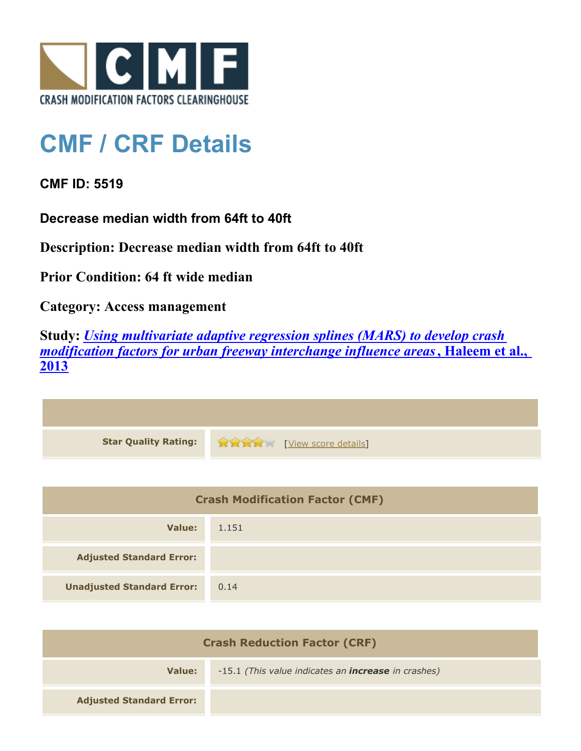

## **CMF / CRF Details**

**CMF ID: 5519**

**Decrease median width from 64ft to 40ft**

**Description: Decrease median width from 64ft to 40ft**

**Prior Condition: 64 ft wide median**

**Category: Access management**

**Study:** *[Using multivariate adaptive regression splines \(MARS\) to develop crash](http://www.cmfclearinghouse.org/study_detail.cfm?stid=351) [modification factors for urban freeway interchange influence areas](http://www.cmfclearinghouse.org/study_detail.cfm?stid=351)***[, Haleem et al.,](http://www.cmfclearinghouse.org/study_detail.cfm?stid=351) [2013](http://www.cmfclearinghouse.org/study_detail.cfm?stid=351)**

| Star Quality Rating: 1999 [View score details] |
|------------------------------------------------|

| <b>Crash Modification Factor (CMF)</b> |       |
|----------------------------------------|-------|
| Value:                                 | 1.151 |
| <b>Adjusted Standard Error:</b>        |       |
| <b>Unadjusted Standard Error:</b>      | 0.14  |

| <b>Crash Reduction Factor (CRF)</b> |                                                            |
|-------------------------------------|------------------------------------------------------------|
| Value:                              | -15.1 (This value indicates an <b>increase</b> in crashes) |
| <b>Adjusted Standard Error:</b>     |                                                            |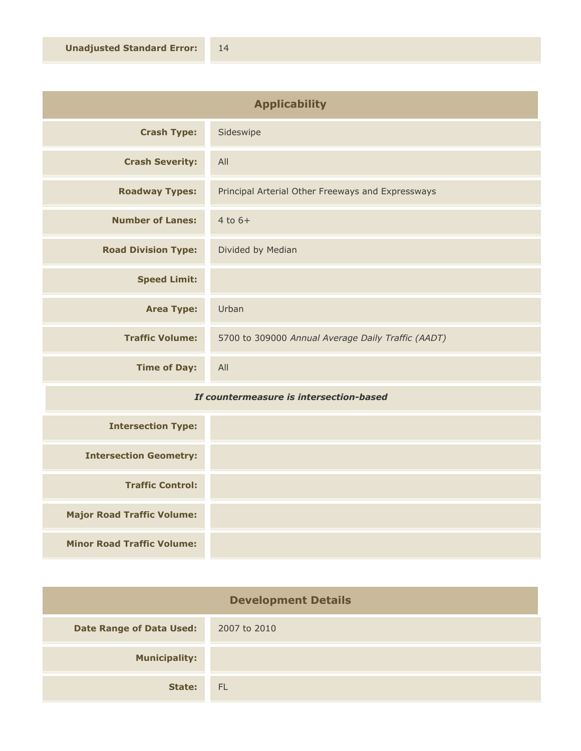| <b>Applicability</b>       |                                                    |
|----------------------------|----------------------------------------------------|
| <b>Crash Type:</b>         | Sideswipe                                          |
| <b>Crash Severity:</b>     | All                                                |
| <b>Roadway Types:</b>      | Principal Arterial Other Freeways and Expressways  |
| <b>Number of Lanes:</b>    | $4$ to $6+$                                        |
| <b>Road Division Type:</b> | Divided by Median                                  |
| <b>Speed Limit:</b>        |                                                    |
| <b>Area Type:</b>          | Urban                                              |
| <b>Traffic Volume:</b>     | 5700 to 309000 Annual Average Daily Traffic (AADT) |
| <b>Time of Day:</b>        | All                                                |

## *If countermeasure is intersection-based*

| <b>Intersection Type:</b>         |  |
|-----------------------------------|--|
| <b>Intersection Geometry:</b>     |  |
| <b>Traffic Control:</b>           |  |
| <b>Major Road Traffic Volume:</b> |  |
| <b>Minor Road Traffic Volume:</b> |  |

| <b>Development Details</b>      |              |
|---------------------------------|--------------|
| <b>Date Range of Data Used:</b> | 2007 to 2010 |
| <b>Municipality:</b>            |              |
| State:                          | - FL         |